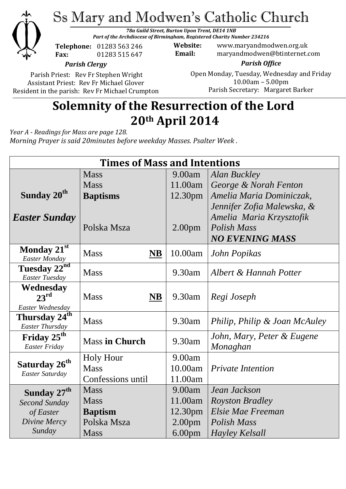

# Ss Mary and Modwen's Catholic Church

*78a Guild Street, Burton Upon Trent, DE14 1NB Part of the Archdiocese of Birmingham, Registered Charity Number 234216*

**Telephone:** 01283 563 246 **Fax:** 01283 515 647

**Website:** www.maryandmodwen.org.uk **Email:** maryandmodwen@btinternet.com

*Parish Clergy*

Parish Priest: Rev Fr Stephen Wright Assistant Priest: Rev Fr Michael Glover Resident in the parish: Rev Fr Michael Crumpton

*Parish Office* Open Monday, Tuesday, Wednesday and Friday 10.00am – 5.00pm Parish Secretary:Margaret Barker

# **Solemnity of the Resurrection of the Lord 20th April 2014**

*Year A - Readings for Mass are page 128.*

*Morning Prayer is said 20minutes before weekday Masses. Psalter Week .*

| <b>Times of Mass and Intentions</b>                 |                          |                    |                                        |
|-----------------------------------------------------|--------------------------|--------------------|----------------------------------------|
|                                                     | <b>Mass</b>              | 9.00am             | Alan Buckley                           |
| Sunday 20 <sup>th</sup>                             | <b>Mass</b>              | 11.00am            | George & Norah Fenton                  |
|                                                     | <b>Baptisms</b>          | 12.30pm            | Amelia Maria Dominiczak,               |
|                                                     |                          |                    | Jennifer Zofia Malewska, &             |
| <b>Easter Sunday</b>                                |                          |                    | Amelia Maria Krzysztofik               |
|                                                     | Polska Msza              | 2.00 <sub>pm</sub> | Polish Mass                            |
|                                                     |                          |                    | <b>NO EVENING MASS</b>                 |
| Monday 21st<br>Easter Monday                        | <b>Mass</b><br>NB        | 10.00am            | John Popikas                           |
| Tuesday 22 <sup>nd</sup>                            | <b>Mass</b>              | 9.30am             | Albert & Hannah Potter                 |
| Easter Tuesday                                      |                          |                    |                                        |
| Wednesday<br>$23^{\rm rd}$                          | <b>Mass</b><br><b>NB</b> | 9.30am             | Regi Joseph                            |
| Easter Wednesday                                    |                          |                    |                                        |
| Thursday 24 <sup>th</sup><br><b>Easter Thursday</b> | <b>Mass</b>              | 9.30am             | Philip, Philip & Joan McAuley          |
| Friday 25 <sup>th</sup><br>Easter Friday            | <b>Mass in Church</b>    | 9.30am             | John, Mary, Peter & Eugene<br>Monaghan |
| Saturday 26 <sup>th</sup><br>Easter Saturday        | <b>Holy Hour</b>         | 9.00am             |                                        |
|                                                     | <b>Mass</b>              | 10.00am            | <b>Private Intention</b>               |
|                                                     | Confessions until        | 11.00am            |                                        |
| Sunday 27 <sup>th</sup>                             | <b>Mass</b>              | 9.00am             | Jean Jackson                           |
| Second Sunday                                       | <b>Mass</b>              | 11.00am            | <b>Royston Bradley</b>                 |
| of Easter                                           | <b>Baptism</b>           | 12.30pm            | Elsie Mae Freeman                      |
| Divine Mercy                                        | Polska Msza              | 2.00 <sub>pm</sub> | <b>Polish Mass</b>                     |
| Sunday                                              | <b>Mass</b>              | 6.00 <sub>pm</sub> | Hayley Kelsall                         |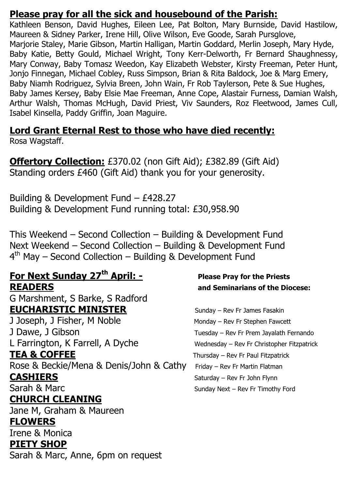### **Please pray for all the sick and housebound of the Parish:**

Kathleen Benson, David Hughes, Eileen Lee, Pat Bolton, Mary Burnside, David Hastilow, Maureen & Sidney Parker, Irene Hill, Olive Wilson, Eve Goode, Sarah Pursglove, Marjorie Staley, Marie Gibson, Martin Halligan, Martin Goddard, Merlin Joseph, Mary Hyde, Baby Katie, Betty Gould, Michael Wright, Tony Kerr-Delworth, Fr Bernard Shaughnessy, Mary Conway, Baby Tomasz Weedon, Kay Elizabeth Webster, Kirsty Freeman, Peter Hunt, Jonjo Finnegan, Michael Cobley, Russ Simpson, Brian & Rita Baldock, Joe & Marg Emery, Baby Niamh Rodriguez, Sylvia Breen, John Wain, Fr Rob Taylerson, Pete & Sue Hughes, Baby James Kersey, Baby Elsie Mae Freeman, Anne Cope, Alastair Furness, Damian Walsh, Arthur Walsh, Thomas McHugh, David Priest, Viv Saunders, Roz Fleetwood, James Cull, Isabel Kinsella, Paddy Griffin, Joan Maguire.

### **Lord Grant Eternal Rest to those who have died recently:** Rosa Wagstaff.

**Offertory Collection:** £370.02 (non Gift Aid); £382.89 (Gift Aid) Standing orders £460 (Gift Aid) thank you for your generosity.

Building & Development Fund – £428.27 Building & Development Fund running total: £30,958.90

This Weekend – Second Collection – Building & Development Fund Next Weekend – Second Collection – Building & Development Fund 4<sup>th</sup> May – Second Collection – Building & Development Fund

### **For Next Sunday 27th April: - Please Pray for the Priests READERS and Seminarians of the Diocese:**

G Marshment, S Barke, S Radford **EUCHARISTIC MINISTER** Sunday – Rev Fr James Fasakin J Joseph, J Fisher, M Noble Monday – Rev Fr Stephen Fawcett

J Dawe, J Gibson Tuesday – Rev Fr Prem Jayalath Fernando L Farrington, K Farrell, A Dyche Wednesday – Rev Fr Christopher Fitzpatrick **TEA & COFFEE** Thursday – Rev Fr Paul Fitzpatrick

Rose & Beckie/Mena & Denis/John & Cathy Friday – Rev Fr Martin Flatman **CASHIERS** Saturday – Rev Fr John Flynn

# **CHURCH CLEANING**

Jane M, Graham & Maureen

## **FLOWERS**

Irene & Monica

### **PIETY SHOP**

Sarah & Marc, Anne, 6pm on request

Sarah & Marc Sunday Next – Rev Fr Timothy Ford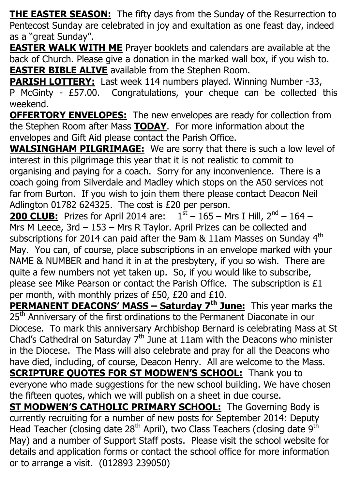**THE EASTER SEASON:** The fifty days from the Sunday of the Resurrection to Pentecost Sunday are celebrated in joy and exultation as one feast day, indeed as a "great Sunday".

**EASTER WALK WITH ME** Prayer booklets and calendars are available at the back of Church. Please give a donation in the marked wall box, if you wish to. **EASTER BIBLE ALIVE** available from the Stephen Room.

**PARISH LOTTERY:** Last week 114 numbers played. Winning Number -33, P McGinty - £57.00. Congratulations, your cheque can be collected this weekend.

**OFFERTORY ENVELOPES:** The new envelopes are ready for collection from the Stephen Room after Mass **TODAY**. For more information about the envelopes and Gift Aid please contact the Parish Office.

**WALSINGHAM PILGRIMAGE:** We are sorry that there is such a low level of interest in this pilgrimage this year that it is not realistic to commit to organising and paying for a coach. Sorry for any inconvenience. There is a coach going from Silverdale and Madley which stops on the A50 services not far from Burton. If you wish to join them there please contact Deacon Neil Adlington 01782 624325. The cost is £20 per person.

**200 CLUB:** Prizes for April 2014 are:  $1<sup>st</sup> - 165 - Mrs$  I Hill,  $2<sup>nd</sup> - 164 -$ Mrs M Leece, 3rd – 153 – Mrs R Taylor. April Prizes can be collected and subscriptions for 2014 can paid after the 9am  $\&$  11am Masses on Sunday 4<sup>th</sup> May. You can, of course, place subscriptions in an envelope marked with your NAME & NUMBER and hand it in at the presbytery, if you so wish. There are quite a few numbers not yet taken up. So, if you would like to subscribe, please see Mike Pearson or contact the Parish Office. The subscription is £1 per month, with monthly prizes of £50, £20 and £10.

**PERMANENT DEACONS' MASS – Saturday 7th June:** This year marks the 25<sup>th</sup> Anniversary of the first ordinations to the Permanent Diaconate in our Diocese. To mark this anniversary Archbishop Bernard is celebrating Mass at St Chad's Cathedral on Saturday  $7<sup>th</sup>$  June at 11am with the Deacons who minister in the Diocese. The Mass will also celebrate and pray for all the Deacons who have died, including, of course, Deacon Henry. All are welcome to the Mass. **SCRIPTURE QUOTES FOR ST MODWEN'S SCHOOL:** Thank you to everyone who made suggestions for the new school building. We have chosen the fifteen quotes, which we will publish on a sheet in due course. **ST MODWEN'S CATHOLIC PRIMARY SCHOOL:** The Governing Body is currently recruiting for a number of new posts for September 2014: Deputy Head Teacher (closing date 28<sup>th</sup> April), two Class Teachers (closing date 9<sup>th</sup>) May) and a number of Support Staff posts. Please visit the school website for details and application forms or contact the school office for more information or to arrange a visit. (012893 239050)